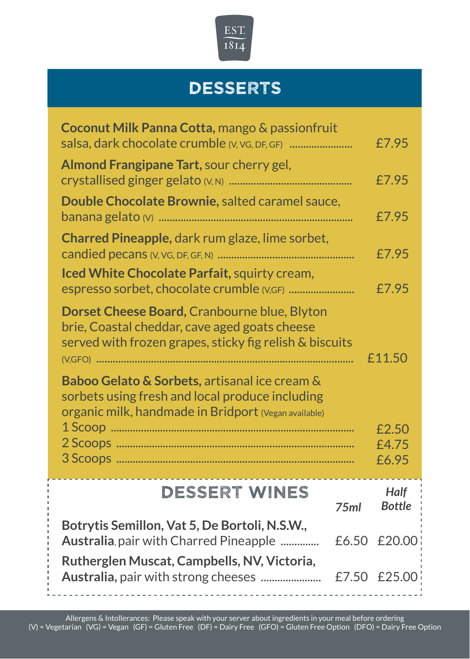

## **DESSERTS**

| Coconut Milk Panna Cotta, mango & passionfruit<br>salsa, dark chocolate crumble (V, VG, DF, GF)                                                          |                  | £7.95                        |
|----------------------------------------------------------------------------------------------------------------------------------------------------------|------------------|------------------------------|
| Almond Frangipane Tart, sour cherry gel,                                                                                                                 |                  | £7.95                        |
| Double Chocolate Brownie, salted caramel sauce,                                                                                                          |                  | £7.95                        |
| Charred Pineapple, dark rum glaze, lime sorbet,                                                                                                          |                  | £7.95                        |
| Iced White Chocolate Parfait, squirty cream,                                                                                                             |                  | £7.95                        |
| Dorset Cheese Board, Cranbourne blue, Blyton<br>brie, Coastal cheddar, cave aged goats cheese<br>served with frozen grapes, sticky fig relish & biscuits |                  | £11.50                       |
| Baboo Gelato & Sorbets, artisanal ice cream &<br>sorbets using fresh and local produce including<br>Organic milk, handmade in Bridport (Vegan available) |                  |                              |
|                                                                                                                                                          |                  | £2.50<br>£4.75<br>£6.95      |
| <b>DESSERT WINES</b>                                                                                                                                     | 75 <sub>ml</sub> | <b>Half</b><br><b>Bottle</b> |
| Botrytis Semillon, Vat 5, De Bortoli, N.S.W.,<br>Australia, pair with Charred Pineapple                                                                  | £6.50            | £20.00                       |
| Rutherglen Muscat, Campbells, NV, Victoria,                                                                                                              | £7.50            | £25.00                       |
|                                                                                                                                                          |                  |                              |

 $\mathbf{I}$ i.